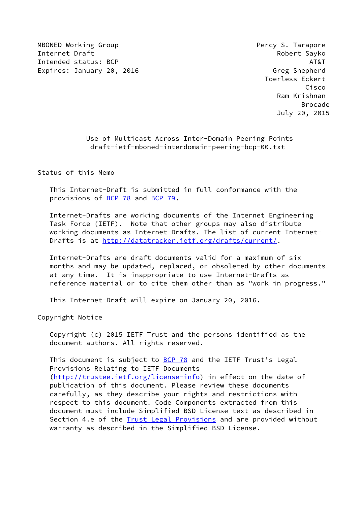MBONED Working Group **Percy S. Tarapore Percy S. Tarapore** Internet Draft **Robert Sayko** Intended status: BCP AT&T AT&T AT&T AT&T Expires: January 20, 2016 Castle and the Control of Greg Shepherd

 Toerless Eckert Cisco Ram Krishnan en de la construction de la construction de la construction de la construction de la construction de la constr July 20, 2015

> Use of Multicast Across Inter-Domain Peering Points draft-ietf-mboned-interdomain-peering-bcp-00.txt

Status of this Memo

 This Internet-Draft is submitted in full conformance with the provisions of [BCP 78](https://datatracker.ietf.org/doc/pdf/bcp78) and [BCP 79](https://datatracker.ietf.org/doc/pdf/bcp79).

 Internet-Drafts are working documents of the Internet Engineering Task Force (IETF). Note that other groups may also distribute working documents as Internet-Drafts. The list of current Internet- Drafts is at<http://datatracker.ietf.org/drafts/current/>.

 Internet-Drafts are draft documents valid for a maximum of six months and may be updated, replaced, or obsoleted by other documents at any time. It is inappropriate to use Internet-Drafts as reference material or to cite them other than as "work in progress."

This Internet-Draft will expire on January 20, 2016.

Copyright Notice

 Copyright (c) 2015 IETF Trust and the persons identified as the document authors. All rights reserved.

This document is subject to **[BCP 78](https://datatracker.ietf.org/doc/pdf/bcp78)** and the IETF Trust's Legal Provisions Relating to IETF Documents [\(http://trustee.ietf.org/license-info](http://trustee.ietf.org/license-info)) in effect on the date of publication of this document. Please review these documents carefully, as they describe your rights and restrictions with respect to this document. Code Components extracted from this document must include Simplified BSD License text as described in Section 4.e of the [Trust Legal Provisions](https://trustee.ietf.org/license-info) and are provided without warranty as described in the Simplified BSD License.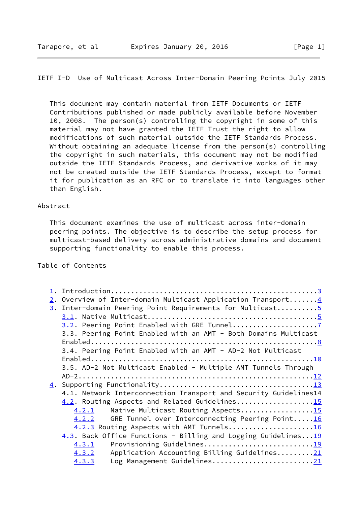## IETF I-D Use of Multicast Across Inter-Domain Peering Points July 2015

 This document may contain material from IETF Documents or IETF Contributions published or made publicly available before November 10, 2008. The person(s) controlling the copyright in some of this material may not have granted the IETF Trust the right to allow modifications of such material outside the IETF Standards Process. Without obtaining an adequate license from the person(s) controlling the copyright in such materials, this document may not be modified outside the IETF Standards Process, and derivative works of it may not be created outside the IETF Standards Process, except to format it for publication as an RFC or to translate it into languages other than English.

### Abstract

 This document examines the use of multicast across inter-domain peering points. The objective is to describe the setup process for multicast-based delivery across administrative domains and document supporting functionality to enable this process.

## Table of Contents

|  | 2. Overview of Inter-domain Multicast Application Transport 4    |
|--|------------------------------------------------------------------|
|  | 3. Inter-domain Peering Point Requirements for Multicast5        |
|  |                                                                  |
|  |                                                                  |
|  | 3.3. Peering Point Enabled with an AMT - Both Domains Multicast  |
|  |                                                                  |
|  | 3.4. Peering Point Enabled with an AMT - AD-2 Not Multicast      |
|  |                                                                  |
|  | 3.5. AD-2 Not Multicast Enabled - Multiple AMT Tunnels Through   |
|  |                                                                  |
|  |                                                                  |
|  | 4.1. Network Interconnection Transport and Security Guidelines14 |
|  | 4.2. Routing Aspects and Related Guidelines15                    |
|  | Native Multicast Routing Aspects15<br>4.2.1                      |
|  | GRE Tunnel over Interconnecting Peering Point16<br>4.2.2         |
|  | 4.2.3 Routing Aspects with AMT Tunnels16                         |
|  | 4.3. Back Office Functions - Billing and Logging Guidelines19    |
|  | Provisioning Guidelines19<br>4.3.1                               |
|  | Application Accounting Billing Guidelines21<br>4.3.2             |
|  | Log Management Guidelines21<br>4.3.3                             |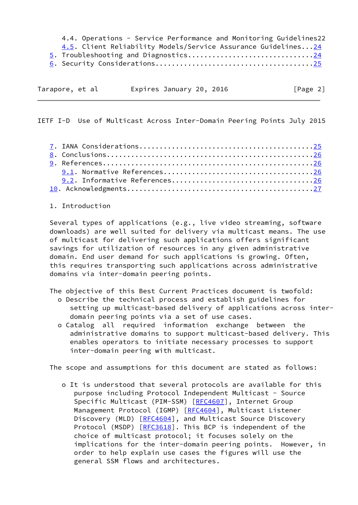4.4. Operations - Service Performance and Monitoring Guidelines22 4.5. Client Reliability Models/Service Assurance Guidelines..[.24](#page-24-0) 5. Troubleshooting and Diagnostics..............................[.24](#page-24-0) 6. Security Considerations......................................[.25](#page-25-0)

| Tarapore, et al |  | Expires January 20, 2016 |  | [Page 2] |  |
|-----------------|--|--------------------------|--|----------|--|

<span id="page-2-0"></span>IETF I-D Use of Multicast Across Inter-Domain Peering Points July 2015

1. Introduction

 Several types of applications (e.g., live video streaming, software downloads) are well suited for delivery via multicast means. The use of multicast for delivering such applications offers significant savings for utilization of resources in any given administrative domain. End user demand for such applications is growing. Often, this requires transporting such applications across administrative domains via inter-domain peering points.

The objective of this Best Current Practices document is twofold:

- o Describe the technical process and establish guidelines for setting up multicast-based delivery of applications across inter domain peering points via a set of use cases.
- o Catalog all required information exchange between the administrative domains to support multicast-based delivery. This enables operators to initiate necessary processes to support inter-domain peering with multicast.

The scope and assumptions for this document are stated as follows:

 o It is understood that several protocols are available for this purpose including Protocol Independent Multicast - Source Specific Multicast (PIM-SSM) [[RFC4607\]](https://datatracker.ietf.org/doc/pdf/rfc4607), Internet Group Management Protocol (IGMP) [\[RFC4604](https://datatracker.ietf.org/doc/pdf/rfc4604)], Multicast Listener Discovery (MLD) [[RFC4604](https://datatracker.ietf.org/doc/pdf/rfc4604)], and Multicast Source Discovery Protocol (MSDP) [[RFC3618](https://datatracker.ietf.org/doc/pdf/rfc3618)]. This BCP is independent of the choice of multicast protocol; it focuses solely on the implications for the inter-domain peering points. However, in order to help explain use cases the figures will use the general SSM flows and architectures.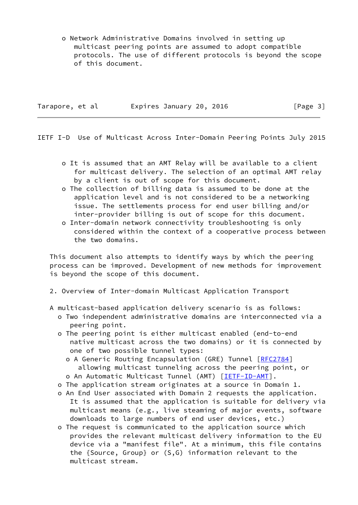o Network Administrative Domains involved in setting up multicast peering points are assumed to adopt compatible protocols. The use of different protocols is beyond the scope of this document.

| Expires January 20, 2016<br>Tarapore, et al |  |  |  |  |  |  |
|---------------------------------------------|--|--|--|--|--|--|
|---------------------------------------------|--|--|--|--|--|--|

 $\lceil \text{Page 3} \rceil$ 

<span id="page-3-0"></span>IETF I-D Use of Multicast Across Inter-Domain Peering Points July 2015

- o It is assumed that an AMT Relay will be available to a client for multicast delivery. The selection of an optimal AMT relay by a client is out of scope for this document.
- o The collection of billing data is assumed to be done at the application level and is not considered to be a networking issue. The settlements process for end user billing and/or inter-provider billing is out of scope for this document.
- o Inter-domain network connectivity troubleshooting is only considered within the context of a cooperative process between the two domains.

 This document also attempts to identify ways by which the peering process can be improved. Development of new methods for improvement is beyond the scope of this document.

- 2. Overview of Inter-domain Multicast Application Transport
- A multicast-based application delivery scenario is as follows:
	- o Two independent administrative domains are interconnected via a peering point.
	- o The peering point is either multicast enabled (end-to-end native multicast across the two domains) or it is connected by one of two possible tunnel types:
		- o A Generic Routing Encapsulation (GRE) Tunnel [[RFC2784\]](https://datatracker.ietf.org/doc/pdf/rfc2784) allowing multicast tunneling across the peering point, or
		- o An Automatic Multicast Tunnel (AMT) [[IETF-ID-AMT](#page-27-1)].
	- o The application stream originates at a source in Domain 1.
	- o An End User associated with Domain 2 requests the application. It is assumed that the application is suitable for delivery via multicast means (e.g., live steaming of major events, software downloads to large numbers of end user devices, etc.)
	- o The request is communicated to the application source which provides the relevant multicast delivery information to the EU device via a "manifest file". At a minimum, this file contains the {Source, Group} or (S,G) information relevant to the multicast stream.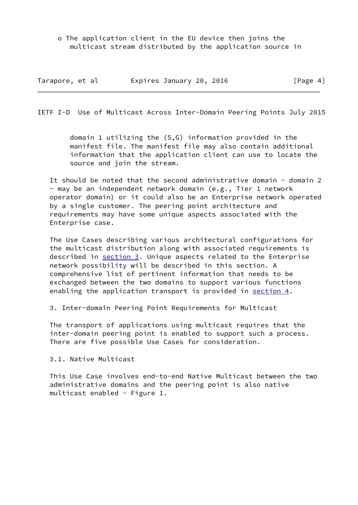o The application client in the EU device then joins the multicast stream distributed by the application source in

| Tarapore, et al | Expires January 20, 2016 | [Page 4] |
|-----------------|--------------------------|----------|
|-----------------|--------------------------|----------|

<span id="page-4-0"></span>IETF I-D Use of Multicast Across Inter-Domain Peering Points July 2015

 domain 1 utilizing the (S,G) information provided in the manifest file. The manifest file may also contain additional information that the application client can use to locate the source and join the stream.

It should be noted that the second administrative domain - domain 2 - may be an independent network domain (e.g., Tier 1 network operator domain) or it could also be an Enterprise network operated by a single customer. The peering point architecture and requirements may have some unique aspects associated with the Enterprise case.

 The Use Cases describing various architectural configurations for the multicast distribution along with associated requirements is described in section 3. Unique aspects related to the Enterprise network possibility will be described in this section. A comprehensive list of pertinent information that needs to be exchanged between the two domains to support various functions enabling the application transport is provided in section 4.

3. Inter-domain Peering Point Requirements for Multicast

 The transport of applications using multicast requires that the inter-domain peering point is enabled to support such a process. There are five possible Use Cases for consideration.

3.1. Native Multicast

 This Use Case involves end-to-end Native Multicast between the two administrative domains and the peering point is also native multicast enabled - Figure 1.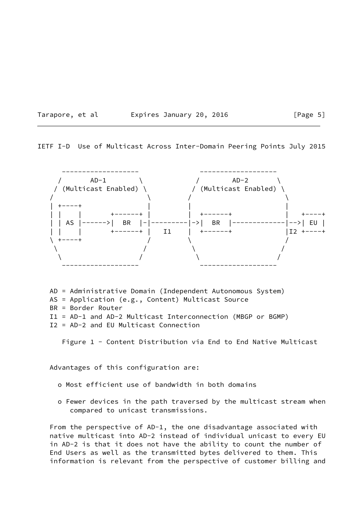|  | Tarapore, | et al |  |
|--|-----------|-------|--|
|--|-----------|-------|--|

#### Expires January 20, 2016  $[Page 5]$

IETF I-D Use of Multicast Across Inter-Domain Peering Points July 2015



 AD = Administrative Domain (Independent Autonomous System) AS = Application (e.g., Content) Multicast Source BR = Border Router

I1 = AD-1 and AD-2 Multicast Interconnection (MBGP or BGMP)

I2 = AD-2 and EU Multicast Connection

Figure 1 - Content Distribution via End to End Native Multicast

Advantages of this configuration are:

- o Most efficient use of bandwidth in both domains
- o Fewer devices in the path traversed by the multicast stream when compared to unicast transmissions.

 From the perspective of AD-1, the one disadvantage associated with native multicast into AD-2 instead of individual unicast to every EU in AD-2 is that it does not have the ability to count the number of End Users as well as the transmitted bytes delivered to them. This information is relevant from the perspective of customer billing and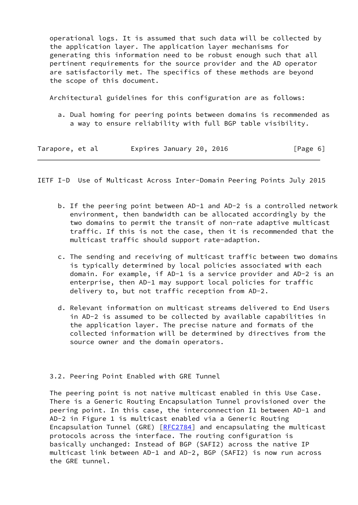operational logs. It is assumed that such data will be collected by the application layer. The application layer mechanisms for generating this information need to be robust enough such that all pertinent requirements for the source provider and the AD operator are satisfactorily met. The specifics of these methods are beyond the scope of this document.

Architectural guidelines for this configuration are as follows:

 a. Dual homing for peering points between domains is recommended as a way to ensure reliability with full BGP table visibility.

| Tarapore, et al | Expires January 20, 2016 | [Page 6] |
|-----------------|--------------------------|----------|
|-----------------|--------------------------|----------|

<span id="page-6-0"></span>IETF I-D Use of Multicast Across Inter-Domain Peering Points July 2015

- b. If the peering point between AD-1 and AD-2 is a controlled network environment, then bandwidth can be allocated accordingly by the two domains to permit the transit of non-rate adaptive multicast traffic. If this is not the case, then it is recommended that the multicast traffic should support rate-adaption.
- c. The sending and receiving of multicast traffic between two domains is typically determined by local policies associated with each domain. For example, if AD-1 is a service provider and AD-2 is an enterprise, then AD-1 may support local policies for traffic delivery to, but not traffic reception from AD-2.
- d. Relevant information on multicast streams delivered to End Users in AD-2 is assumed to be collected by available capabilities in the application layer. The precise nature and formats of the collected information will be determined by directives from the source owner and the domain operators.

## 3.2. Peering Point Enabled with GRE Tunnel

 The peering point is not native multicast enabled in this Use Case. There is a Generic Routing Encapsulation Tunnel provisioned over the peering point. In this case, the interconnection I1 between AD-1 and AD-2 in Figure 1 is multicast enabled via a Generic Routing Encapsulation Tunnel (GRE) [[RFC2784\]](https://datatracker.ietf.org/doc/pdf/rfc2784) and encapsulating the multicast protocols across the interface. The routing configuration is basically unchanged: Instead of BGP (SAFI2) across the native IP multicast link between AD-1 and AD-2, BGP (SAFI2) is now run across the GRE tunnel.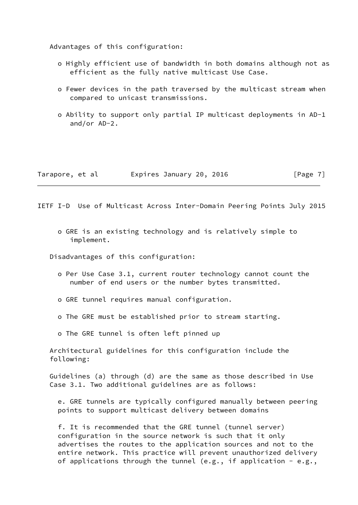Advantages of this configuration:

- o Highly efficient use of bandwidth in both domains although not as efficient as the fully native multicast Use Case.
- o Fewer devices in the path traversed by the multicast stream when compared to unicast transmissions.
- o Ability to support only partial IP multicast deployments in AD-1 and/or AD-2.

| Tarapore, et al |  | Expires January 20, 2016 |  | [Page 7] |
|-----------------|--|--------------------------|--|----------|
|-----------------|--|--------------------------|--|----------|

<span id="page-7-0"></span>IETF I-D Use of Multicast Across Inter-Domain Peering Points July 2015

 o GRE is an existing technology and is relatively simple to implement.

Disadvantages of this configuration:

- o Per Use Case 3.1, current router technology cannot count the number of end users or the number bytes transmitted.
- o GRE tunnel requires manual configuration.
- o The GRE must be established prior to stream starting.
- o The GRE tunnel is often left pinned up

 Architectural guidelines for this configuration include the following:

 Guidelines (a) through (d) are the same as those described in Use Case 3.1. Two additional guidelines are as follows:

 e. GRE tunnels are typically configured manually between peering points to support multicast delivery between domains

 f. It is recommended that the GRE tunnel (tunnel server) configuration in the source network is such that it only advertises the routes to the application sources and not to the entire network. This practice will prevent unauthorized delivery of applications through the tunnel (e.g., if application - e.g.,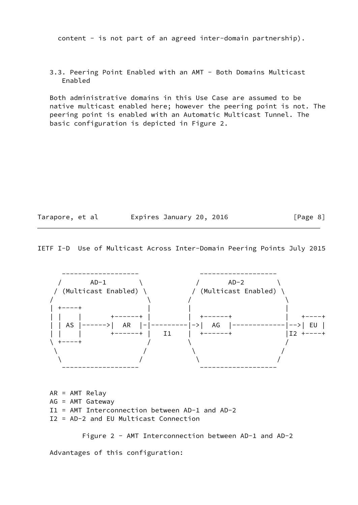content - is not part of an agreed inter-domain partnership).

 3.3. Peering Point Enabled with an AMT - Both Domains Multicast Enabled

 Both administrative domains in this Use Case are assumed to be native multicast enabled here; however the peering point is not. The peering point is enabled with an Automatic Multicast Tunnel. The basic configuration is depicted in Figure 2.

| Tarapore, et al |  | Expires January 20, 2016 |  | [Page 8] |  |
|-----------------|--|--------------------------|--|----------|--|
|                 |  |                          |  |          |  |

IETF I-D Use of Multicast Across Inter-Domain Peering Points July 2015



 AR = AMT Relay AG = AMT Gateway I1 = AMT Interconnection between AD-1 and AD-2 I2 = AD-2 and EU Multicast Connection

Figure 2 - AMT Interconnection between AD-1 and AD-2

Advantages of this configuration: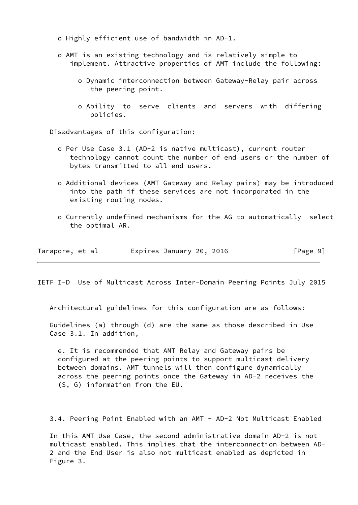o Highly efficient use of bandwidth in AD-1.

- o AMT is an existing technology and is relatively simple to implement. Attractive properties of AMT include the following:
	- o Dynamic interconnection between Gateway-Relay pair across the peering point.
	- o Ability to serve clients and servers with differing policies.

Disadvantages of this configuration:

- o Per Use Case 3.1 (AD-2 is native multicast), current router technology cannot count the number of end users or the number of bytes transmitted to all end users.
- o Additional devices (AMT Gateway and Relay pairs) may be introduced into the path if these services are not incorporated in the existing routing nodes.
- o Currently undefined mechanisms for the AG to automatically select the optimal AR.

| Tarapore, et al | Expires January 20, 2016 |  | [Page 9] |
|-----------------|--------------------------|--|----------|
|-----------------|--------------------------|--|----------|

<span id="page-9-0"></span>IETF I-D Use of Multicast Across Inter-Domain Peering Points July 2015

Architectural guidelines for this configuration are as follows:

 Guidelines (a) through (d) are the same as those described in Use Case 3.1. In addition,

 e. It is recommended that AMT Relay and Gateway pairs be configured at the peering points to support multicast delivery between domains. AMT tunnels will then configure dynamically across the peering points once the Gateway in AD-2 receives the (S, G) information from the EU.

3.4. Peering Point Enabled with an AMT - AD-2 Not Multicast Enabled

 In this AMT Use Case, the second administrative domain AD-2 is not multicast enabled. This implies that the interconnection between AD- 2 and the End User is also not multicast enabled as depicted in Figure 3.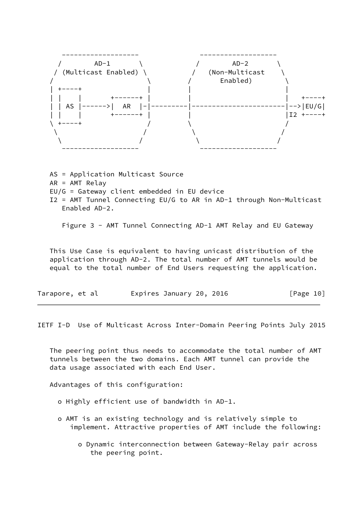

 AS = Application Multicast Source AR = AMT Relay EU/G = Gateway client embedded in EU device I2 = AMT Tunnel Connecting EU/G to AR in AD-1 through Non-Multicast Enabled AD-2.

Figure 3 - AMT Tunnel Connecting AD-1 AMT Relay and EU Gateway

 This Use Case is equivalent to having unicast distribution of the application through AD-2. The total number of AMT tunnels would be equal to the total number of End Users requesting the application.

| Tarapore, et al |  |  |  | Expires January 20, 2016 |  |  | [Page 10] |  |
|-----------------|--|--|--|--------------------------|--|--|-----------|--|
|-----------------|--|--|--|--------------------------|--|--|-----------|--|

IETF I-D Use of Multicast Across Inter-Domain Peering Points July 2015

 The peering point thus needs to accommodate the total number of AMT tunnels between the two domains. Each AMT tunnel can provide the data usage associated with each End User.

Advantages of this configuration:

- o Highly efficient use of bandwidth in AD-1.
- o AMT is an existing technology and is relatively simple to implement. Attractive properties of AMT include the following:
	- o Dynamic interconnection between Gateway-Relay pair across the peering point.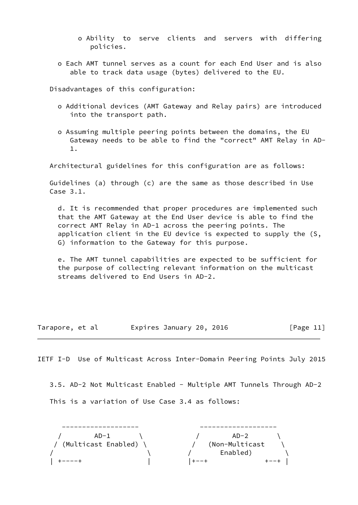- o Ability to serve clients and servers with differing policies.
- o Each AMT tunnel serves as a count for each End User and is also able to track data usage (bytes) delivered to the EU.

Disadvantages of this configuration:

- o Additional devices (AMT Gateway and Relay pairs) are introduced into the transport path.
- o Assuming multiple peering points between the domains, the EU Gateway needs to be able to find the "correct" AMT Relay in AD- 1.

Architectural guidelines for this configuration are as follows:

 Guidelines (a) through (c) are the same as those described in Use Case 3.1.

 d. It is recommended that proper procedures are implemented such that the AMT Gateway at the End User device is able to find the correct AMT Relay in AD-1 across the peering points. The application client in the EU device is expected to supply the (S, G) information to the Gateway for this purpose.

 e. The AMT tunnel capabilities are expected to be sufficient for the purpose of collecting relevant information on the multicast streams delivered to End Users in AD-2.

Tarapore, et al expires January 20, 2016 [Page 11]

<span id="page-11-0"></span>IETF I-D Use of Multicast Across Inter-Domain Peering Points July 2015

 3.5. AD-2 Not Multicast Enabled - Multiple AMT Tunnels Through AD-2 This is a variation of Use Case 3.4 as follows:

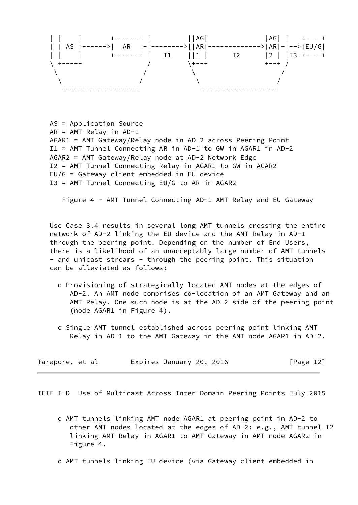

 AS = Application Source AR = AMT Relay in AD-1 AGAR1 = AMT Gateway/Relay node in AD-2 across Peering Point I1 = AMT Tunnel Connecting AR in AD-1 to GW in AGAR1 in AD-2 AGAR2 = AMT Gateway/Relay node at AD-2 Network Edge I2 = AMT Tunnel Connecting Relay in AGAR1 to GW in AGAR2 EU/G = Gateway client embedded in EU device I3 = AMT Tunnel Connecting EU/G to AR in AGAR2

Figure 4 - AMT Tunnel Connecting AD-1 AMT Relay and EU Gateway

 Use Case 3.4 results in several long AMT tunnels crossing the entire network of AD-2 linking the EU device and the AMT Relay in AD-1 through the peering point. Depending on the number of End Users, there is a likelihood of an unacceptably large number of AMT tunnels - and unicast streams - through the peering point. This situation can be alleviated as follows:

- o Provisioning of strategically located AMT nodes at the edges of AD-2. An AMT node comprises co-location of an AMT Gateway and an AMT Relay. One such node is at the AD-2 side of the peering point (node AGAR1 in Figure 4).
- o Single AMT tunnel established across peering point linking AMT Relay in AD-1 to the AMT Gateway in the AMT node AGAR1 in AD-2.

| Tarapore, et al |  |  | Expires January 20, 2016 |  |  | [Page 12] |
|-----------------|--|--|--------------------------|--|--|-----------|
|-----------------|--|--|--------------------------|--|--|-----------|

<span id="page-12-0"></span>IETF I-D Use of Multicast Across Inter-Domain Peering Points July 2015

- o AMT tunnels linking AMT node AGAR1 at peering point in AD-2 to other AMT nodes located at the edges of AD-2: e.g., AMT tunnel I2 linking AMT Relay in AGAR1 to AMT Gateway in AMT node AGAR2 in Figure 4.
- o AMT tunnels linking EU device (via Gateway client embedded in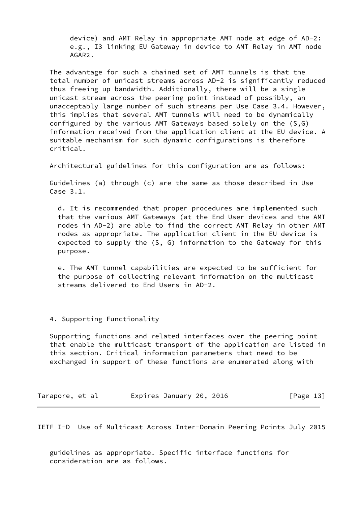device) and AMT Relay in appropriate AMT node at edge of AD-2: e.g., I3 linking EU Gateway in device to AMT Relay in AMT node AGAR2.

 The advantage for such a chained set of AMT tunnels is that the total number of unicast streams across AD-2 is significantly reduced thus freeing up bandwidth. Additionally, there will be a single unicast stream across the peering point instead of possibly, an unacceptably large number of such streams per Use Case 3.4. However, this implies that several AMT tunnels will need to be dynamically configured by the various AMT Gateways based solely on the (S,G) information received from the application client at the EU device. A suitable mechanism for such dynamic configurations is therefore critical.

Architectural guidelines for this configuration are as follows:

 Guidelines (a) through (c) are the same as those described in Use Case 3.1.

 d. It is recommended that proper procedures are implemented such that the various AMT Gateways (at the End User devices and the AMT nodes in AD-2) are able to find the correct AMT Relay in other AMT nodes as appropriate. The application client in the EU device is expected to supply the (S, G) information to the Gateway for this purpose.

 e. The AMT tunnel capabilities are expected to be sufficient for the purpose of collecting relevant information on the multicast streams delivered to End Users in AD-2.

4. Supporting Functionality

 Supporting functions and related interfaces over the peering point that enable the multicast transport of the application are listed in this section. Critical information parameters that need to be exchanged in support of these functions are enumerated along with

Tarapore, et al expires January 20, 2016 [Page 13]

IETF I-D Use of Multicast Across Inter-Domain Peering Points July 2015

 guidelines as appropriate. Specific interface functions for consideration are as follows.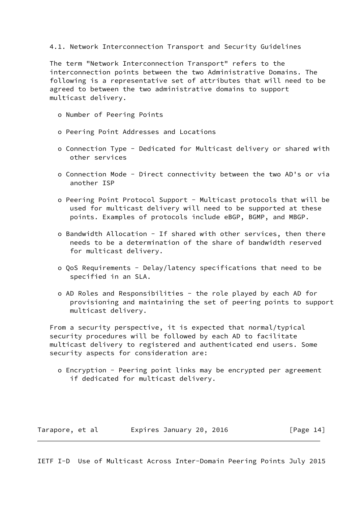### 4.1. Network Interconnection Transport and Security Guidelines

 The term "Network Interconnection Transport" refers to the interconnection points between the two Administrative Domains. The following is a representative set of attributes that will need to be agreed to between the two administrative domains to support multicast delivery.

- o Number of Peering Points
- o Peering Point Addresses and Locations
- o Connection Type Dedicated for Multicast delivery or shared with other services
- o Connection Mode Direct connectivity between the two AD's or via another ISP
- o Peering Point Protocol Support Multicast protocols that will be used for multicast delivery will need to be supported at these points. Examples of protocols include eBGP, BGMP, and MBGP.
- o Bandwidth Allocation If shared with other services, then there needs to be a determination of the share of bandwidth reserved for multicast delivery.
- o QoS Requirements Delay/latency specifications that need to be specified in an SLA.
- o AD Roles and Responsibilities the role played by each AD for provisioning and maintaining the set of peering points to support multicast delivery.

 From a security perspective, it is expected that normal/typical security procedures will be followed by each AD to facilitate multicast delivery to registered and authenticated end users. Some security aspects for consideration are:

 o Encryption - Peering point links may be encrypted per agreement if dedicated for multicast delivery.

Tarapore, et al interpries January 20, 2016 [Page 14]

<span id="page-14-0"></span>IETF I-D Use of Multicast Across Inter-Domain Peering Points July 2015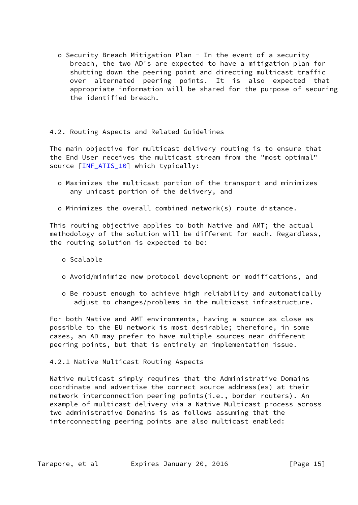o Security Breach Mitigation Plan - In the event of a security breach, the two AD's are expected to have a mitigation plan for shutting down the peering point and directing multicast traffic over alternated peering points. It is also expected that appropriate information will be shared for the purpose of securing the identified breach.

# 4.2. Routing Aspects and Related Guidelines

 The main objective for multicast delivery routing is to ensure that the End User receives the multicast stream from the "most optimal" source [INF ATIS 10] which typically:

- o Maximizes the multicast portion of the transport and minimizes any unicast portion of the delivery, and
- o Minimizes the overall combined network(s) route distance.

 This routing objective applies to both Native and AMT; the actual methodology of the solution will be different for each. Regardless, the routing solution is expected to be:

- o Scalable
- o Avoid/minimize new protocol development or modifications, and
- o Be robust enough to achieve high reliability and automatically adjust to changes/problems in the multicast infrastructure.

 For both Native and AMT environments, having a source as close as possible to the EU network is most desirable; therefore, in some cases, an AD may prefer to have multiple sources near different peering points, but that is entirely an implementation issue.

4.2.1 Native Multicast Routing Aspects

 Native multicast simply requires that the Administrative Domains coordinate and advertise the correct source address(es) at their network interconnection peering points(i.e., border routers). An example of multicast delivery via a Native Multicast process across two administrative Domains is as follows assuming that the interconnecting peering points are also multicast enabled: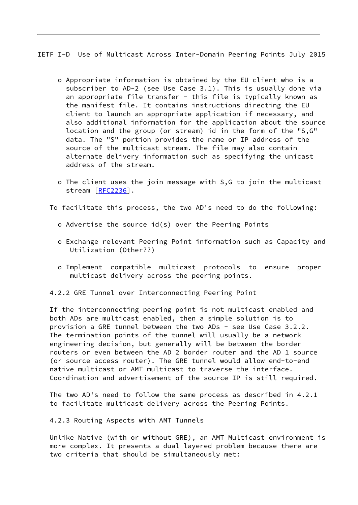<span id="page-16-0"></span>IETF I-D Use of Multicast Across Inter-Domain Peering Points July 2015

- o Appropriate information is obtained by the EU client who is a subscriber to AD-2 (see Use Case 3.1). This is usually done via an appropriate file transfer - this file is typically known as the manifest file. It contains instructions directing the EU client to launch an appropriate application if necessary, and also additional information for the application about the source location and the group (or stream) id in the form of the "S,G" data. The "S" portion provides the name or IP address of the source of the multicast stream. The file may also contain alternate delivery information such as specifying the unicast address of the stream.
- o The client uses the join message with S,G to join the multicast stream [[RFC2236\]](https://datatracker.ietf.org/doc/pdf/rfc2236).

To facilitate this process, the two AD's need to do the following:

- o Advertise the source id(s) over the Peering Points
- o Exchange relevant Peering Point information such as Capacity and Utilization (Other??)
- o Implement compatible multicast protocols to ensure proper multicast delivery across the peering points.

4.2.2 GRE Tunnel over Interconnecting Peering Point

 If the interconnecting peering point is not multicast enabled and both ADs are multicast enabled, then a simple solution is to provision a GRE tunnel between the two ADs - see Use Case 3.2.2. The termination points of the tunnel will usually be a network engineering decision, but generally will be between the border routers or even between the AD 2 border router and the AD 1 source (or source access router). The GRE tunnel would allow end-to-end native multicast or AMT multicast to traverse the interface. Coordination and advertisement of the source IP is still required.

 The two AD's need to follow the same process as described in 4.2.1 to facilitate multicast delivery across the Peering Points.

4.2.3 Routing Aspects with AMT Tunnels

 Unlike Native (with or without GRE), an AMT Multicast environment is more complex. It presents a dual layered problem because there are two criteria that should be simultaneously met: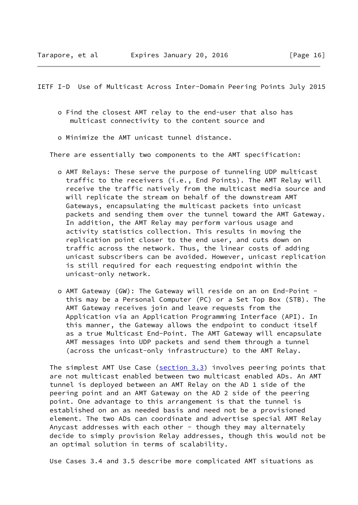IETF I-D Use of Multicast Across Inter-Domain Peering Points July 2015

- o Find the closest AMT relay to the end-user that also has multicast connectivity to the content source and
- o Minimize the AMT unicast tunnel distance.

There are essentially two components to the AMT specification:

- o AMT Relays: These serve the purpose of tunneling UDP multicast traffic to the receivers (i.e., End Points). The AMT Relay will receive the traffic natively from the multicast media source and will replicate the stream on behalf of the downstream AMT Gateways, encapsulating the multicast packets into unicast packets and sending them over the tunnel toward the AMT Gateway. In addition, the AMT Relay may perform various usage and activity statistics collection. This results in moving the replication point closer to the end user, and cuts down on traffic across the network. Thus, the linear costs of adding unicast subscribers can be avoided. However, unicast replication is still required for each requesting endpoint within the unicast-only network.
- o AMT Gateway (GW): The Gateway will reside on an on End-Point this may be a Personal Computer (PC) or a Set Top Box (STB). The AMT Gateway receives join and leave requests from the Application via an Application Programming Interface (API). In this manner, the Gateway allows the endpoint to conduct itself as a true Multicast End-Point. The AMT Gateway will encapsulate AMT messages into UDP packets and send them through a tunnel (across the unicast-only infrastructure) to the AMT Relay.

The simplest AMT Use Case  $(s_{\text{section 3.3}})$  involves peering points that are not multicast enabled between two multicast enabled ADs. An AMT tunnel is deployed between an AMT Relay on the AD 1 side of the peering point and an AMT Gateway on the AD 2 side of the peering point. One advantage to this arrangement is that the tunnel is established on an as needed basis and need not be a provisioned element. The two ADs can coordinate and advertise special AMT Relay Anycast addresses with each other - though they may alternately decide to simply provision Relay addresses, though this would not be an optimal solution in terms of scalability.

Use Cases 3.4 and 3.5 describe more complicated AMT situations as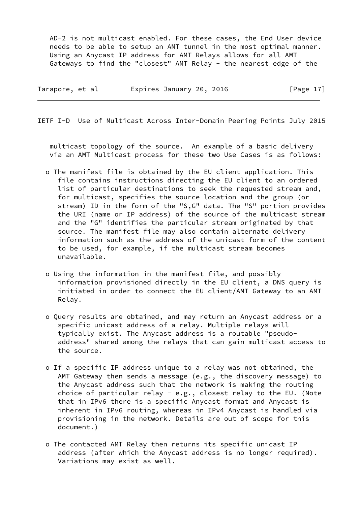AD-2 is not multicast enabled. For these cases, the End User device needs to be able to setup an AMT tunnel in the most optimal manner. Using an Anycast IP address for AMT Relays allows for all AMT Gateways to find the "closest" AMT Relay - the nearest edge of the

| Tarapore, et al | Expires January 20, 2016 | [Page $17$ ] |
|-----------------|--------------------------|--------------|
|                 |                          |              |

IETF I-D Use of Multicast Across Inter-Domain Peering Points July 2015

 multicast topology of the source. An example of a basic delivery via an AMT Multicast process for these two Use Cases is as follows:

- o The manifest file is obtained by the EU client application. This file contains instructions directing the EU client to an ordered list of particular destinations to seek the requested stream and, for multicast, specifies the source location and the group (or stream) ID in the form of the "S,G" data. The "S" portion provides the URI (name or IP address) of the source of the multicast stream and the "G" identifies the particular stream originated by that source. The manifest file may also contain alternate delivery information such as the address of the unicast form of the content to be used, for example, if the multicast stream becomes unavailable.
- o Using the information in the manifest file, and possibly information provisioned directly in the EU client, a DNS query is initiated in order to connect the EU client/AMT Gateway to an AMT Relay.
- o Query results are obtained, and may return an Anycast address or a specific unicast address of a relay. Multiple relays will typically exist. The Anycast address is a routable "pseudo address" shared among the relays that can gain multicast access to the source.
- o If a specific IP address unique to a relay was not obtained, the AMT Gateway then sends a message (e.g., the discovery message) to the Anycast address such that the network is making the routing choice of particular relay - e.g., closest relay to the EU. (Note that in IPv6 there is a specific Anycast format and Anycast is inherent in IPv6 routing, whereas in IPv4 Anycast is handled via provisioning in the network. Details are out of scope for this document.)
- o The contacted AMT Relay then returns its specific unicast IP address (after which the Anycast address is no longer required). Variations may exist as well.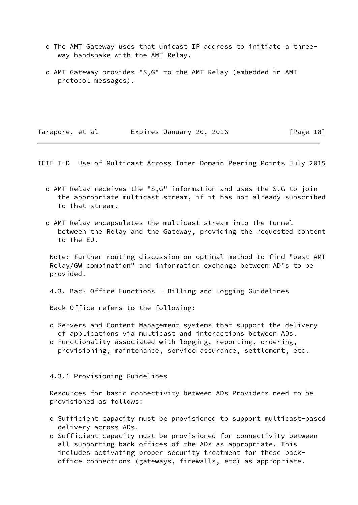- o The AMT Gateway uses that unicast IP address to initiate a three way handshake with the AMT Relay.
- o AMT Gateway provides "S,G" to the AMT Relay (embedded in AMT protocol messages).

Tarapore, et al expires January 20, 2016 [Page 18]

<span id="page-19-0"></span>IETF I-D Use of Multicast Across Inter-Domain Peering Points July 2015

- o AMT Relay receives the "S,G" information and uses the S,G to join the appropriate multicast stream, if it has not already subscribed to that stream.
- o AMT Relay encapsulates the multicast stream into the tunnel between the Relay and the Gateway, providing the requested content to the EU.

 Note: Further routing discussion on optimal method to find "best AMT Relay/GW combination" and information exchange between AD's to be provided.

4.3. Back Office Functions - Billing and Logging Guidelines

Back Office refers to the following:

- o Servers and Content Management systems that support the delivery of applications via multicast and interactions between ADs.
- o Functionality associated with logging, reporting, ordering, provisioning, maintenance, service assurance, settlement, etc.

#### 4.3.1 Provisioning Guidelines

 Resources for basic connectivity between ADs Providers need to be provisioned as follows:

- o Sufficient capacity must be provisioned to support multicast-based delivery across ADs.
- o Sufficient capacity must be provisioned for connectivity between all supporting back-offices of the ADs as appropriate. This includes activating proper security treatment for these back office connections (gateways, firewalls, etc) as appropriate.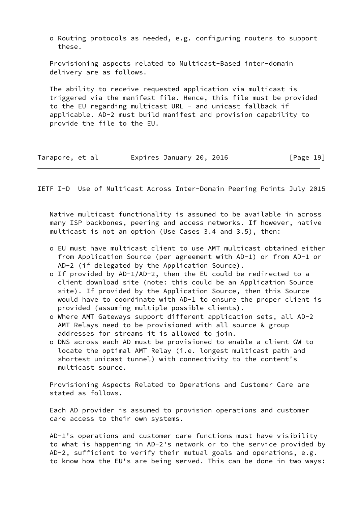o Routing protocols as needed, e.g. configuring routers to support these.

 Provisioning aspects related to Multicast-Based inter-domain delivery are as follows.

 The ability to receive requested application via multicast is triggered via the manifest file. Hence, this file must be provided to the EU regarding multicast URL - and unicast fallback if applicable. AD-2 must build manifest and provision capability to provide the file to the EU.

| Tarapore, et al | Expires January 20, 2016 | [Page 19] |
|-----------------|--------------------------|-----------|
|-----------------|--------------------------|-----------|

IETF I-D Use of Multicast Across Inter-Domain Peering Points July 2015

 Native multicast functionality is assumed to be available in across many ISP backbones, peering and access networks. If however, native multicast is not an option (Use Cases 3.4 and 3.5), then:

- o EU must have multicast client to use AMT multicast obtained either from Application Source (per agreement with AD-1) or from AD-1 or AD-2 (if delegated by the Application Source).
- o If provided by AD-1/AD-2, then the EU could be redirected to a client download site (note: this could be an Application Source site). If provided by the Application Source, then this Source would have to coordinate with AD-1 to ensure the proper client is provided (assuming multiple possible clients).
- o Where AMT Gateways support different application sets, all AD-2 AMT Relays need to be provisioned with all source & group addresses for streams it is allowed to join.
- o DNS across each AD must be provisioned to enable a client GW to locate the optimal AMT Relay (i.e. longest multicast path and shortest unicast tunnel) with connectivity to the content's multicast source.

 Provisioning Aspects Related to Operations and Customer Care are stated as follows.

 Each AD provider is assumed to provision operations and customer care access to their own systems.

 AD-1's operations and customer care functions must have visibility to what is happening in AD-2's network or to the service provided by AD-2, sufficient to verify their mutual goals and operations, e.g. to know how the EU's are being served. This can be done in two ways: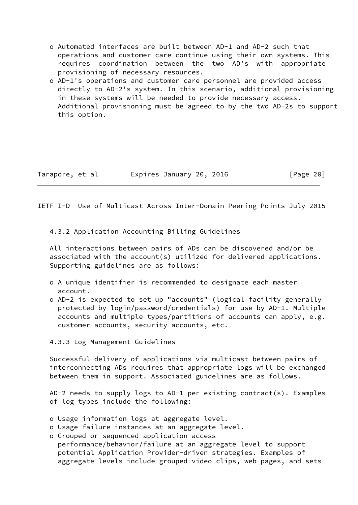- o Automated interfaces are built between AD-1 and AD-2 such that operations and customer care continue using their own systems. This requires coordination between the two AD's with appropriate provisioning of necessary resources.
- o AD-1's operations and customer care personnel are provided access directly to AD-2's system. In this scenario, additional provisioning in these systems will be needed to provide necessary access. Additional provisioning must be agreed to by the two AD-2s to support this option.

| Tarapore, et al | Expires January 20, 2016 |  |  |
|-----------------|--------------------------|--|--|
|-----------------|--------------------------|--|--|

 $[Page 20]$ 

<span id="page-21-0"></span>IETF I-D Use of Multicast Across Inter-Domain Peering Points July 2015

4.3.2 Application Accounting Billing Guidelines

 All interactions between pairs of ADs can be discovered and/or be associated with the account(s) utilized for delivered applications. Supporting guidelines are as follows:

- o A unique identifier is recommended to designate each master account.
- o AD-2 is expected to set up "accounts" (logical facility generally protected by login/password/credentials) for use by AD-1. Multiple accounts and multiple types/partitions of accounts can apply, e.g. customer accounts, security accounts, etc.

4.3.3 Log Management Guidelines

 Successful delivery of applications via multicast between pairs of interconnecting ADs requires that appropriate logs will be exchanged between them in support. Associated guidelines are as follows.

 AD-2 needs to supply logs to AD-1 per existing contract(s). Examples of log types include the following:

- o Usage information logs at aggregate level.
- o Usage failure instances at an aggregate level.
- o Grouped or sequenced application access performance/behavior/failure at an aggregate level to support potential Application Provider-driven strategies. Examples of aggregate levels include grouped video clips, web pages, and sets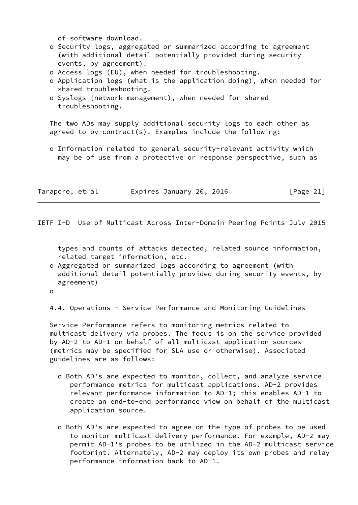of software download.

- o Security logs, aggregated or summarized according to agreement (with additional detail potentially provided during security events, by agreement).
- o Access logs (EU), when needed for troubleshooting.
- o Application logs (what is the application doing), when needed for shared troubleshooting.
- o Syslogs (network management), when needed for shared troubleshooting.

 The two ADs may supply additional security logs to each other as agreed to by contract(s). Examples include the following:

 o Information related to general security-relevant activity which may be of use from a protective or response perspective, such as

| Tarapore, et al | Expires January 20, 2016 | [Page 21] |
|-----------------|--------------------------|-----------|
|-----------------|--------------------------|-----------|

IETF I-D Use of Multicast Across Inter-Domain Peering Points July 2015

 types and counts of attacks detected, related source information, related target information, etc.

- o Aggregated or summarized logs according to agreement (with additional detail potentially provided during security events, by agreement)
- o

4.4. Operations - Service Performance and Monitoring Guidelines

 Service Performance refers to monitoring metrics related to multicast delivery via probes. The focus is on the service provided by AD-2 to AD-1 on behalf of all multicast application sources (metrics may be specified for SLA use or otherwise). Associated guidelines are as follows:

- o Both AD's are expected to monitor, collect, and analyze service performance metrics for multicast applications. AD-2 provides relevant performance information to AD-1; this enables AD-1 to create an end-to-end performance view on behalf of the multicast application source.
- o Both AD's are expected to agree on the type of probes to be used to monitor multicast delivery performance. For example, AD-2 may permit AD-1's probes to be utilized in the AD-2 multicast service footprint. Alternately, AD-2 may deploy its own probes and relay performance information back to AD-1.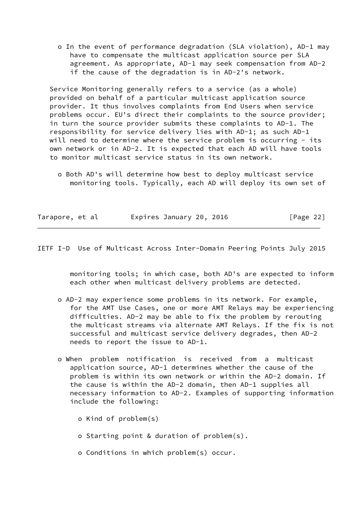o In the event of performance degradation (SLA violation), AD-1 may have to compensate the multicast application source per SLA agreement. As appropriate, AD-1 may seek compensation from AD-2 if the cause of the degradation is in AD-2's network.

 Service Monitoring generally refers to a service (as a whole) provided on behalf of a particular multicast application source provider. It thus involves complaints from End Users when service problems occur. EU's direct their complaints to the source provider; in turn the source provider submits these complaints to AD-1. The responsibility for service delivery lies with AD-1; as such AD-1 will need to determine where the service problem is occurring - its own network or in AD-2. It is expected that each AD will have tools to monitor multicast service status in its own network.

 o Both AD's will determine how best to deploy multicast service monitoring tools. Typically, each AD will deploy its own set of

| Tarapore, et al |  | Expires January 20, 2016 |  | [Page 22] |  |
|-----------------|--|--------------------------|--|-----------|--|
|                 |  |                          |  |           |  |

IETF I-D Use of Multicast Across Inter-Domain Peering Points July 2015

 monitoring tools; in which case, both AD's are expected to inform each other when multicast delivery problems are detected.

- o AD-2 may experience some problems in its network. For example, for the AMT Use Cases, one or more AMT Relays may be experiencing difficulties. AD-2 may be able to fix the problem by rerouting the multicast streams via alternate AMT Relays. If the fix is not successful and multicast service delivery degrades, then AD-2 needs to report the issue to AD-1.
- o When problem notification is received from a multicast application source, AD-1 determines whether the cause of the problem is within its own network or within the AD-2 domain. If the cause is within the AD-2 domain, then AD-1 supplies all necessary information to AD-2. Examples of supporting information include the following:
	- o Kind of problem(s)
	- o Starting point & duration of problem(s).
	- o Conditions in which problem(s) occur.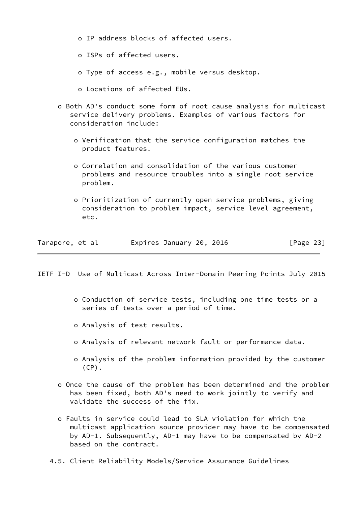- o IP address blocks of affected users.
- o ISPs of affected users.
- o Type of access e.g., mobile versus desktop.
- o Locations of affected EUs.
- o Both AD's conduct some form of root cause analysis for multicast service delivery problems. Examples of various factors for consideration include:
	- o Verification that the service configuration matches the product features.
	- o Correlation and consolidation of the various customer problems and resource troubles into a single root service problem.
	- o Prioritization of currently open service problems, giving consideration to problem impact, service level agreement, etc.

| Tarapore, et al | Expires January 20, 2016 | [Page 23] |
|-----------------|--------------------------|-----------|
|-----------------|--------------------------|-----------|

<span id="page-24-0"></span>IETF I-D Use of Multicast Across Inter-Domain Peering Points July 2015

- o Conduction of service tests, including one time tests or a series of tests over a period of time.
- o Analysis of test results.
- o Analysis of relevant network fault or performance data.
- o Analysis of the problem information provided by the customer  $(CP)$ .
- o Once the cause of the problem has been determined and the problem has been fixed, both AD's need to work jointly to verify and validate the success of the fix.
- o Faults in service could lead to SLA violation for which the multicast application source provider may have to be compensated by AD-1. Subsequently, AD-1 may have to be compensated by AD-2 based on the contract.
- 4.5. Client Reliability Models/Service Assurance Guidelines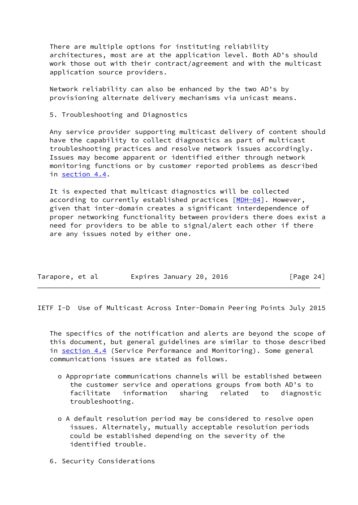There are multiple options for instituting reliability architectures, most are at the application level. Both AD's should work those out with their contract/agreement and with the multicast application source providers.

 Network reliability can also be enhanced by the two AD's by provisioning alternate delivery mechanisms via unicast means.

5. Troubleshooting and Diagnostics

 Any service provider supporting multicast delivery of content should have the capability to collect diagnostics as part of multicast troubleshooting practices and resolve network issues accordingly. Issues may become apparent or identified either through network monitoring functions or by customer reported problems as described in section 4.4.

 It is expected that multicast diagnostics will be collected according to currently established practices [\[MDH-04](#page-27-3)]. However, given that inter-domain creates a significant interdependence of proper networking functionality between providers there does exist a need for providers to be able to signal/alert each other if there are any issues noted by either one.

| Tarapore, et al |  |  | Expires January 20, 2016 |  |  | [Page 24] |  |
|-----------------|--|--|--------------------------|--|--|-----------|--|
|-----------------|--|--|--------------------------|--|--|-----------|--|

<span id="page-25-0"></span>IETF I-D Use of Multicast Across Inter-Domain Peering Points July 2015

 The specifics of the notification and alerts are beyond the scope of this document, but general guidelines are similar to those described in section 4.4 (Service Performance and Monitoring). Some general communications issues are stated as follows.

- o Appropriate communications channels will be established between the customer service and operations groups from both AD's to facilitate information sharing related to diagnostic troubleshooting.
- o A default resolution period may be considered to resolve open issues. Alternately, mutually acceptable resolution periods could be established depending on the severity of the identified trouble.
- 6. Security Considerations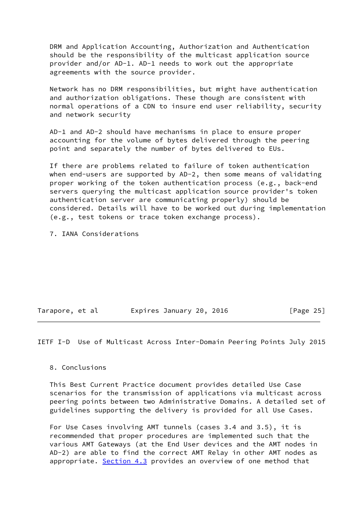DRM and Application Accounting, Authorization and Authentication should be the responsibility of the multicast application source provider and/or AD-1. AD-1 needs to work out the appropriate agreements with the source provider.

 Network has no DRM responsibilities, but might have authentication and authorization obligations. These though are consistent with normal operations of a CDN to insure end user reliability, security and network security

 AD-1 and AD-2 should have mechanisms in place to ensure proper accounting for the volume of bytes delivered through the peering point and separately the number of bytes delivered to EUs.

 If there are problems related to failure of token authentication when end-users are supported by AD-2, then some means of validating proper working of the token authentication process (e.g., back-end servers querying the multicast application source provider's token authentication server are communicating properly) should be considered. Details will have to be worked out during implementation (e.g., test tokens or trace token exchange process).

7. IANA Considerations

| Tarapore, et al |  | Expires January 20, 2016 |  | [Page 25] |  |
|-----------------|--|--------------------------|--|-----------|--|
|                 |  |                          |  |           |  |

<span id="page-26-0"></span>IETF I-D Use of Multicast Across Inter-Domain Peering Points July 2015

8. Conclusions

 This Best Current Practice document provides detailed Use Case scenarios for the transmission of applications via multicast across peering points between two Administrative Domains. A detailed set of guidelines supporting the delivery is provided for all Use Cases.

 For Use Cases involving AMT tunnels (cases 3.4 and 3.5), it is recommended that proper procedures are implemented such that the various AMT Gateways (at the End User devices and the AMT nodes in AD-2) are able to find the correct AMT Relay in other AMT nodes as appropriate. Section 4.3 provides an overview of one method that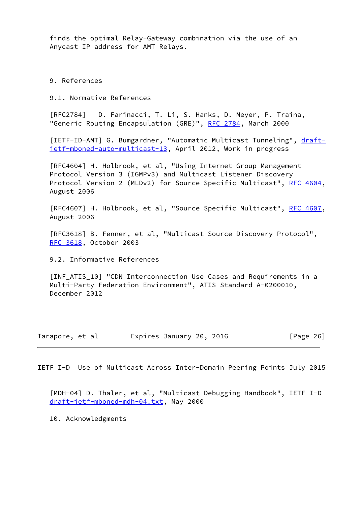finds the optimal Relay-Gateway combination via the use of an Anycast IP address for AMT Relays.

9. References

9.1. Normative References

[RFC2784] D. Farinacci, T. Li, S. Hanks, D. Meyer, P. Traina, "Generic Routing Encapsulation (GRE)", [RFC 2784,](https://datatracker.ietf.org/doc/pdf/rfc2784) March 2000

<span id="page-27-1"></span>[IETF-ID-AMT] G. Bumgardner, "Automatic Multicast Tunneling", [draft](https://datatracker.ietf.org/doc/pdf/draft-ietf-mboned-auto-multicast-13) [ietf-mboned-auto-multicast-13](https://datatracker.ietf.org/doc/pdf/draft-ietf-mboned-auto-multicast-13), April 2012, Work in progress

 [RFC4604] H. Holbrook, et al, "Using Internet Group Management Protocol Version 3 (IGMPv3) and Multicast Listener Discovery Protocol Version 2 (MLDv2) for Source Specific Multicast", [RFC 4604,](https://datatracker.ietf.org/doc/pdf/rfc4604) August 2006

[RFC4607] H. Holbrook, et al, "Source Specific Multicast", [RFC 4607,](https://datatracker.ietf.org/doc/pdf/rfc4607) August 2006

 [RFC3618] B. Fenner, et al, "Multicast Source Discovery Protocol", [RFC 3618](https://datatracker.ietf.org/doc/pdf/rfc3618), October 2003

9.2. Informative References

<span id="page-27-2"></span> [INF\_ATIS\_10] "CDN Interconnection Use Cases and Requirements in a Multi-Party Federation Environment", ATIS Standard A-0200010, December 2012

| Tarapore, et al | Expires January 20, 2016 | [Page 26] |
|-----------------|--------------------------|-----------|
|-----------------|--------------------------|-----------|

<span id="page-27-0"></span>IETF I-D Use of Multicast Across Inter-Domain Peering Points July 2015

<span id="page-27-3"></span> [MDH-04] D. Thaler, et al, "Multicast Debugging Handbook", IETF I-D [draft-ietf-mboned-mdh-04.txt](https://datatracker.ietf.org/doc/pdf/draft-ietf-mboned-mdh-04.txt), May 2000

10. Acknowledgments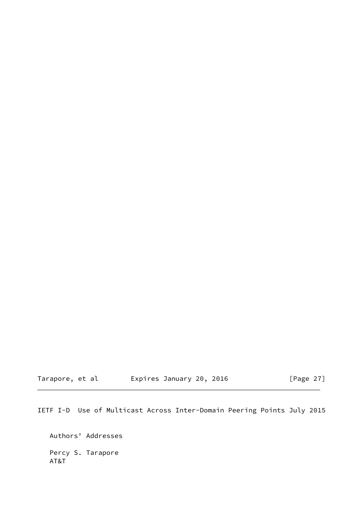Tarapore, et al Expires January 20, 2016 [Page 27]

IETF I-D Use of Multicast Across Inter-Domain Peering Points July 2015

 Authors' Addresses Percy S. Tarapore AT&T